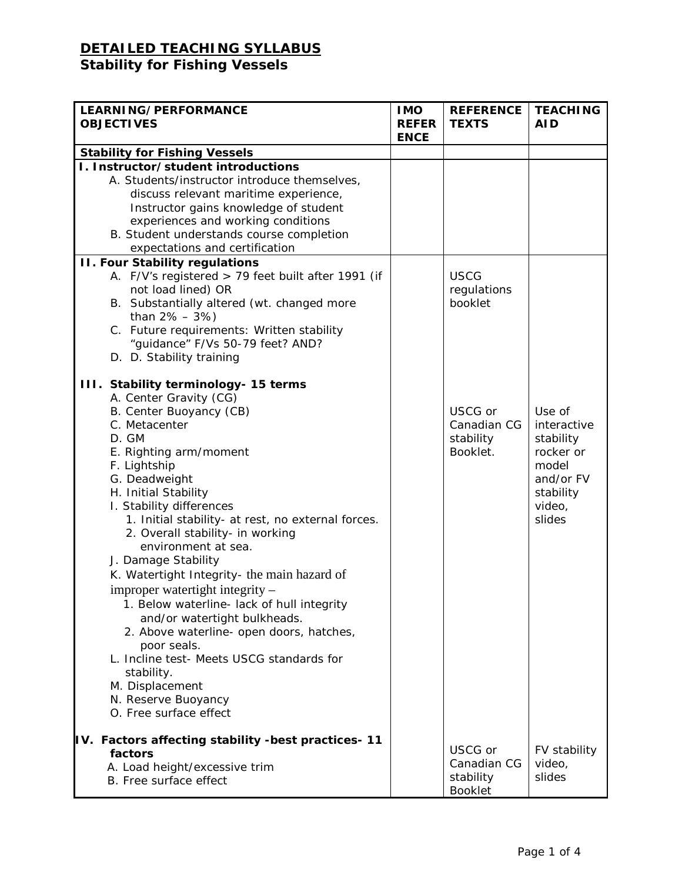## **DETAILED TEACHING SYLLABUS Stability for Fishing Vessels**

| LEARNING/PERFORMANCE<br><b>OBJECTIVES</b>                                                                                                                                                                                                                                                                                                                                                                                                                                                                                                                                                                                                                                                                                            | <b>IMO</b><br><b>REFER</b><br><b>ENCE</b> | <b>REFERENCE</b><br><b>TEXTS</b>                      | <b>TEACHING</b><br><b>AID</b>                                                                          |
|--------------------------------------------------------------------------------------------------------------------------------------------------------------------------------------------------------------------------------------------------------------------------------------------------------------------------------------------------------------------------------------------------------------------------------------------------------------------------------------------------------------------------------------------------------------------------------------------------------------------------------------------------------------------------------------------------------------------------------------|-------------------------------------------|-------------------------------------------------------|--------------------------------------------------------------------------------------------------------|
| <b>Stability for Fishing Vessels</b>                                                                                                                                                                                                                                                                                                                                                                                                                                                                                                                                                                                                                                                                                                 |                                           |                                                       |                                                                                                        |
| I. Instructor/student introductions<br>A. Students/instructor introduce themselves,<br>discuss relevant maritime experience,<br>Instructor gains knowledge of student<br>experiences and working conditions<br>B. Student understands course completion<br>expectations and certification                                                                                                                                                                                                                                                                                                                                                                                                                                            |                                           |                                                       |                                                                                                        |
| <b>II. Four Stability regulations</b>                                                                                                                                                                                                                                                                                                                                                                                                                                                                                                                                                                                                                                                                                                |                                           |                                                       |                                                                                                        |
| A. F/V's registered > 79 feet built after 1991 (if<br>not load lined) OR<br>B. Substantially altered (wt. changed more<br>than $2\% - 3\%)$<br>C. Future requirements: Written stability<br>"guidance" F/Vs 50-79 feet? AND?<br>D. D. Stability training                                                                                                                                                                                                                                                                                                                                                                                                                                                                             |                                           | <b>USCG</b><br>regulations<br>booklet                 |                                                                                                        |
| III. Stability terminology- 15 terms<br>A. Center Gravity (CG)<br>B. Center Buoyancy (CB)<br>C. Metacenter<br>D. GM<br>E. Righting arm/moment<br>F. Lightship<br>G. Deadweight<br>H. Initial Stability<br>I. Stability differences<br>1. Initial stability- at rest, no external forces.<br>2. Overall stability- in working<br>environment at sea.<br>J. Damage Stability<br>K. Watertight Integrity- the main hazard of<br>improper watertight integrity –<br>1. Below waterline- lack of hull integrity<br>and/or watertight bulkheads.<br>2. Above waterline- open doors, hatches,<br>poor seals.<br>L. Incline test- Meets USCG standards for<br>stability.<br>M. Displacement<br>N. Reserve Buoyancy<br>O. Free surface effect |                                           | USCG or<br>Canadian CG<br>stability<br>Booklet.       | Use of<br>interactive<br>stability<br>rocker or<br>model<br>and/or FV<br>stability<br>video,<br>slides |
| IV. Factors affecting stability -best practices- 11<br>factors<br>A. Load height/excessive trim<br>B. Free surface effect                                                                                                                                                                                                                                                                                                                                                                                                                                                                                                                                                                                                            |                                           | USCG or<br>Canadian CG<br>stability<br><b>Booklet</b> | FV stability<br>video,<br>slides                                                                       |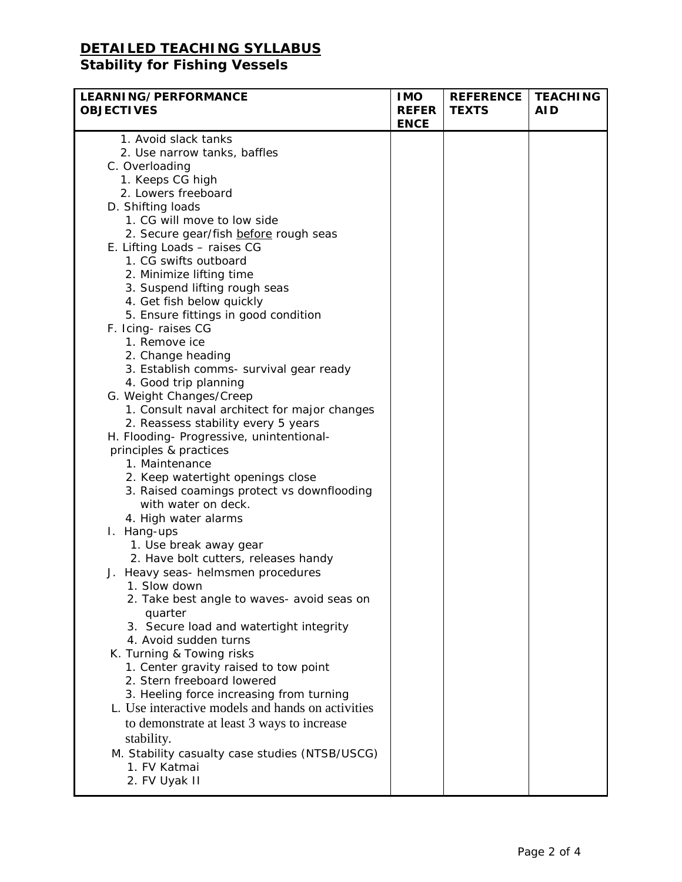## **DETAILED TEACHING SYLLABUS**

### **Stability for Fishing Vessels**

| <b>LEARNING/PERFORMANCE</b><br><b>OBJECTIVES</b>  | <b>IMO</b><br><b>REFER</b><br><b>ENCE</b> | <b>REFERENCE</b><br><b>TEXTS</b> | <b>TEACHING</b><br><b>AID</b> |
|---------------------------------------------------|-------------------------------------------|----------------------------------|-------------------------------|
| 1. Avoid slack tanks                              |                                           |                                  |                               |
| 2. Use narrow tanks, baffles                      |                                           |                                  |                               |
| C. Overloading                                    |                                           |                                  |                               |
| 1. Keeps CG high                                  |                                           |                                  |                               |
| 2. Lowers freeboard                               |                                           |                                  |                               |
| D. Shifting loads                                 |                                           |                                  |                               |
| 1. CG will move to low side                       |                                           |                                  |                               |
| 2. Secure gear/fish before rough seas             |                                           |                                  |                               |
| E. Lifting Loads - raises CG                      |                                           |                                  |                               |
| 1. CG swifts outboard                             |                                           |                                  |                               |
| 2. Minimize lifting time                          |                                           |                                  |                               |
| 3. Suspend lifting rough seas                     |                                           |                                  |                               |
| 4. Get fish below quickly                         |                                           |                                  |                               |
| 5. Ensure fittings in good condition              |                                           |                                  |                               |
| F. Icing-raises CG                                |                                           |                                  |                               |
| 1. Remove ice                                     |                                           |                                  |                               |
| 2. Change heading                                 |                                           |                                  |                               |
| 3. Establish comms- survival gear ready           |                                           |                                  |                               |
| 4. Good trip planning                             |                                           |                                  |                               |
| G. Weight Changes/Creep                           |                                           |                                  |                               |
| 1. Consult naval architect for major changes      |                                           |                                  |                               |
| 2. Reassess stability every 5 years               |                                           |                                  |                               |
| H. Flooding- Progressive, unintentional-          |                                           |                                  |                               |
| principles & practices                            |                                           |                                  |                               |
| 1. Maintenance                                    |                                           |                                  |                               |
| 2. Keep watertight openings close                 |                                           |                                  |                               |
| 3. Raised coamings protect vs downflooding        |                                           |                                  |                               |
| with water on deck.                               |                                           |                                  |                               |
| 4. High water alarms                              |                                           |                                  |                               |
| I. Hang-ups                                       |                                           |                                  |                               |
| 1. Use break away gear                            |                                           |                                  |                               |
| 2. Have bolt cutters, releases handy              |                                           |                                  |                               |
| J. Heavy seas- helmsmen procedures                |                                           |                                  |                               |
| 1. Slow down                                      |                                           |                                  |                               |
| 2. Take best angle to waves- avoid seas on        |                                           |                                  |                               |
| quarter                                           |                                           |                                  |                               |
| 3. Secure load and watertight integrity           |                                           |                                  |                               |
| 4. Avoid sudden turns                             |                                           |                                  |                               |
| K. Turning & Towing risks                         |                                           |                                  |                               |
| 1. Center gravity raised to tow point             |                                           |                                  |                               |
| 2. Stern freeboard lowered                        |                                           |                                  |                               |
| 3. Heeling force increasing from turning          |                                           |                                  |                               |
| L. Use interactive models and hands on activities |                                           |                                  |                               |
| to demonstrate at least 3 ways to increase        |                                           |                                  |                               |
| stability.                                        |                                           |                                  |                               |
| M. Stability casualty case studies (NTSB/USCG)    |                                           |                                  |                               |
| 1. FV Katmai                                      |                                           |                                  |                               |
| 2. FV Uyak II                                     |                                           |                                  |                               |
|                                                   |                                           |                                  |                               |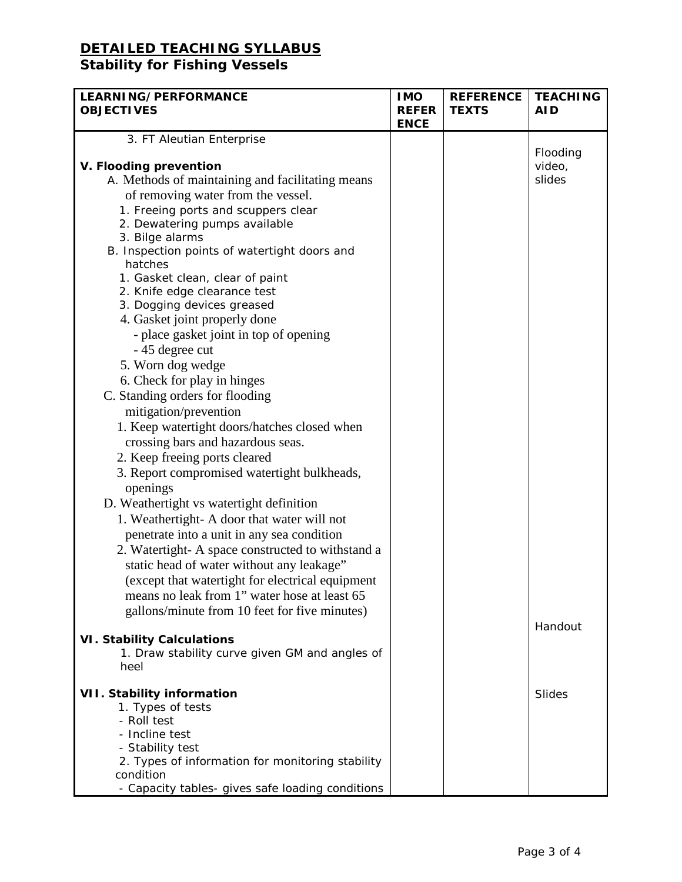# **DETAILED TEACHING SYLLABUS**

### **Stability for Fishing Vessels**

| LEARNING/PERFORMANCE                             | <b>IMO</b>                  | <b>REFERENCE</b> | <b>TEACHING</b>    |
|--------------------------------------------------|-----------------------------|------------------|--------------------|
| <b>OBJECTIVES</b>                                | <b>REFER</b><br><b>ENCE</b> | <b>TEXTS</b>     | <b>AID</b>         |
| 3. FT Aleutian Enterprise                        |                             |                  |                    |
| V. Flooding prevention                           |                             |                  | Flooding<br>video, |
| A. Methods of maintaining and facilitating means |                             |                  | slides             |
| of removing water from the vessel.               |                             |                  |                    |
| 1. Freeing ports and scuppers clear              |                             |                  |                    |
| 2. Dewatering pumps available                    |                             |                  |                    |
| 3. Bilge alarms                                  |                             |                  |                    |
| B. Inspection points of watertight doors and     |                             |                  |                    |
| hatches                                          |                             |                  |                    |
| 1. Gasket clean, clear of paint                  |                             |                  |                    |
| 2. Knife edge clearance test                     |                             |                  |                    |
| 3. Dogging devices greased                       |                             |                  |                    |
| 4. Gasket joint properly done                    |                             |                  |                    |
| - place gasket joint in top of opening           |                             |                  |                    |
| - 45 degree cut                                  |                             |                  |                    |
| 5. Worn dog wedge                                |                             |                  |                    |
| 6. Check for play in hinges                      |                             |                  |                    |
| C. Standing orders for flooding                  |                             |                  |                    |
| mitigation/prevention                            |                             |                  |                    |
| 1. Keep watertight doors/hatches closed when     |                             |                  |                    |
| crossing bars and hazardous seas.                |                             |                  |                    |
| 2. Keep freeing ports cleared                    |                             |                  |                    |
| 3. Report compromised watertight bulkheads,      |                             |                  |                    |
| openings                                         |                             |                  |                    |
| D. Weathertight vs watertight definition         |                             |                  |                    |
| 1. Weathertight- A door that water will not      |                             |                  |                    |
| penetrate into a unit in any sea condition       |                             |                  |                    |
| 2. Watertight-A space constructed to withstand a |                             |                  |                    |
| static head of water without any leakage"        |                             |                  |                    |
| (except that watertight for electrical equipment |                             |                  |                    |
| means no leak from 1" water hose at least 65     |                             |                  |                    |
| gallons/minute from 10 feet for five minutes)    |                             |                  |                    |
|                                                  |                             |                  | Handout            |
| <b>VI. Stability Calculations</b>                |                             |                  |                    |
| 1. Draw stability curve given GM and angles of   |                             |                  |                    |
| heel                                             |                             |                  |                    |
| <b>VII. Stability information</b>                |                             |                  | Slides             |
| 1. Types of tests                                |                             |                  |                    |
| - Roll test                                      |                             |                  |                    |
| - Incline test                                   |                             |                  |                    |
| - Stability test                                 |                             |                  |                    |
| 2. Types of information for monitoring stability |                             |                  |                    |
| condition                                        |                             |                  |                    |
| - Capacity tables- gives safe loading conditions |                             |                  |                    |